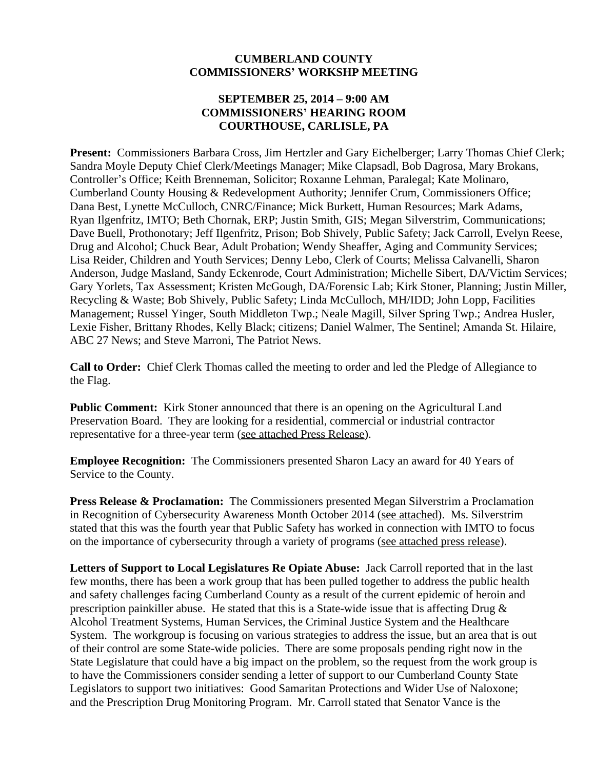### **CUMBERLAND COUNTY COMMISSIONERS' WORKSHP MEETING**

### **SEPTEMBER 25, 2014 – 9:00 AM COMMISSIONERS' HEARING ROOM COURTHOUSE, CARLISLE, PA**

**Present:** Commissioners Barbara Cross, Jim Hertzler and Gary Eichelberger; Larry Thomas Chief Clerk; Sandra Moyle Deputy Chief Clerk/Meetings Manager; Mike Clapsadl, Bob Dagrosa, Mary Brokans, Controller's Office; Keith Brenneman, Solicitor; Roxanne Lehman, Paralegal; Kate Molinaro, Cumberland County Housing & Redevelopment Authority; Jennifer Crum, Commissioners Office; Dana Best, Lynette McCulloch, CNRC/Finance; Mick Burkett, Human Resources; Mark Adams, Ryan Ilgenfritz, IMTO; Beth Chornak, ERP; Justin Smith, GIS; Megan Silverstrim, Communications; Dave Buell, Prothonotary; Jeff Ilgenfritz, Prison; Bob Shively, Public Safety; Jack Carroll, Evelyn Reese, Drug and Alcohol; Chuck Bear, Adult Probation; Wendy Sheaffer, Aging and Community Services; Lisa Reider, Children and Youth Services; Denny Lebo, Clerk of Courts; Melissa Calvanelli, Sharon Anderson, Judge Masland, Sandy Eckenrode, Court Administration; Michelle Sibert, DA/Victim Services; Gary Yorlets, Tax Assessment; Kristen McGough, DA/Forensic Lab; Kirk Stoner, Planning; Justin Miller, Recycling & Waste; Bob Shively, Public Safety; Linda McCulloch, MH/IDD; John Lopp, Facilities Management; Russel Yinger, South Middleton Twp.; Neale Magill, Silver Spring Twp.; Andrea Husler, Lexie Fisher, Brittany Rhodes, Kelly Black; citizens; Daniel Walmer, The Sentinel; Amanda St. Hilaire, ABC 27 News; and Steve Marroni, The Patriot News.

**Call to Order:** Chief Clerk Thomas called the meeting to order and led the Pledge of Allegiance to the Flag.

Public Comment: Kirk Stoner announced that there is an opening on the Agricultural Land Preservation Board. They are looking for a residential, commercial or industrial contractor representative for a three-year term (see attached Press Release).

**Employee Recognition:** The Commissioners presented Sharon Lacy an award for 40 Years of Service to the County.

**Press Release & Proclamation:** The Commissioners presented Megan Silverstrim a Proclamation in Recognition of Cybersecurity Awareness Month October 2014 (see attached). Ms. Silverstrim stated that this was the fourth year that Public Safety has worked in connection with IMTO to focus on the importance of cybersecurity through a variety of programs (see attached press release).

**Letters of Support to Local Legislatures Re Opiate Abuse:** Jack Carroll reported that in the last few months, there has been a work group that has been pulled together to address the public health and safety challenges facing Cumberland County as a result of the current epidemic of heroin and prescription painkiller abuse. He stated that this is a State-wide issue that is affecting Drug  $\&$ Alcohol Treatment Systems, Human Services, the Criminal Justice System and the Healthcare System. The workgroup is focusing on various strategies to address the issue, but an area that is out of their control are some State-wide policies. There are some proposals pending right now in the State Legislature that could have a big impact on the problem, so the request from the work group is to have the Commissioners consider sending a letter of support to our Cumberland County State Legislators to support two initiatives: Good Samaritan Protections and Wider Use of Naloxone; and the Prescription Drug Monitoring Program. Mr. Carroll stated that Senator Vance is the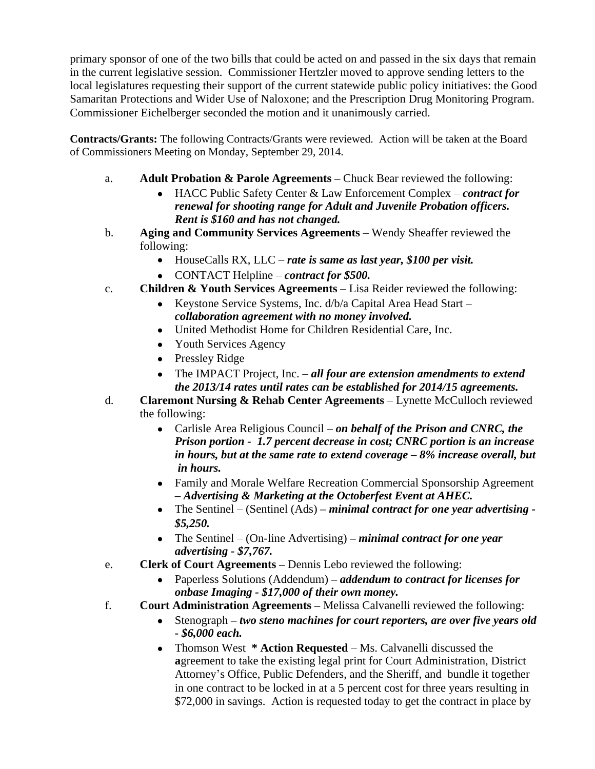primary sponsor of one of the two bills that could be acted on and passed in the six days that remain in the current legislative session. Commissioner Hertzler moved to approve sending letters to the local legislatures requesting their support of the current statewide public policy initiatives: the Good Samaritan Protections and Wider Use of Naloxone; and the Prescription Drug Monitoring Program. Commissioner Eichelberger seconded the motion and it unanimously carried.

**Contracts/Grants:** The following Contracts/Grants were reviewed. Action will be taken at the Board of Commissioners Meeting on Monday, September 29, 2014.

- a. **Adult Probation & Parole Agreements –** Chuck Bear reviewed the following:
	- HACC Public Safety Center & Law Enforcement Complex *contract for renewal for shooting range for Adult and Juvenile Probation officers. Rent is \$160 and has not changed.*
- b. **Aging and Community Services Agreements** Wendy Sheaffer reviewed the following:
	- HouseCalls RX, LLC *rate is same as last year, \$100 per visit.*
	- CONTACT Helpline *contract for \$500.*
- c. **Children & Youth Services Agreements** Lisa Reider reviewed the following:
	- Keystone Service Systems, Inc. d/b/a Capital Area Head Start *collaboration agreement with no money involved.*
	- United Methodist Home for Children Residential Care, Inc.
	- Youth Services Agency
	- Pressley Ridge
	- The IMPACT Project, Inc. *all four are extension amendments to extend the 2013/14 rates until rates can be established for 2014/15 agreements.*
- d. **Claremont Nursing & Rehab Center Agreements** Lynette McCulloch reviewed the following:
	- Carlisle Area Religious Council *on behalf of the Prison and CNRC, the Prison portion - 1.7 percent decrease in cost; CNRC portion is an increase in hours, but at the same rate to extend coverage – 8% increase overall, but in hours.*
	- Family and Morale Welfare Recreation Commercial Sponsorship Agreement *– Advertising & Marketing at the Octoberfest Event at AHEC.*
	- The Sentinel (Sentinel (Ads) *– minimal contract for one year advertising - \$5,250.*
	- The Sentinel (On-line Advertising) *– minimal contract for one year advertising - \$7,767.*
- e. **Clerk of Court Agreements –** Dennis Lebo reviewed the following:
	- Paperless Solutions (Addendum) *– addendum to contract for licenses for onbase Imaging - \$17,000 of their own money.*
- f. **Court Administration Agreements –** Melissa Calvanelli reviewed the following:
	- Stenograph *– two steno machines for court reporters, are over five years old - \$6,000 each.*
	- Thomson West **\* Action Requested** Ms. Calvanelli discussed the **a**greement to take the existing legal print for Court Administration, District Attorney's Office, Public Defenders, and the Sheriff, and bundle it together in one contract to be locked in at a 5 percent cost for three years resulting in \$72,000 in savings. Action is requested today to get the contract in place by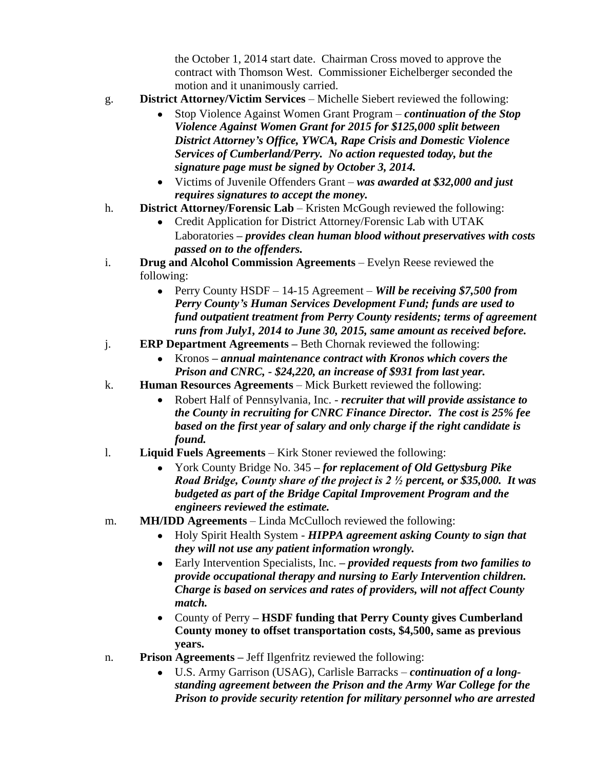the October 1, 2014 start date. Chairman Cross moved to approve the contract with Thomson West. Commissioner Eichelberger seconded the motion and it unanimously carried.

- g. **District Attorney/Victim Services** Michelle Siebert reviewed the following:
	- Stop Violence Against Women Grant Program *continuation of the Stop Violence Against Women Grant for 2015 for \$125,000 split between District Attorney's Office, YWCA, Rape Crisis and Domestic Violence Services of Cumberland/Perry. No action requested today, but the signature page must be signed by October 3, 2014.*
	- Victims of Juvenile Offenders Grant *was awarded at \$32,000 and just requires signatures to accept the money.*
- h. **District Attorney/Forensic Lab** Kristen McGough reviewed the following:
	- Credit Application for District Attorney/Forensic Lab with UTAK Laboratories *– provides clean human blood without preservatives with costs passed on to the offenders.*
- i. **Drug and Alcohol Commission Agreements** Evelyn Reese reviewed the following:
	- Perry County HSDF 14-15 Agreement *Will be receiving \$7,500 from Perry County's Human Services Development Fund; funds are used to fund outpatient treatment from Perry County residents; terms of agreement runs from July1, 2014 to June 30, 2015, same amount as received before.*
- j. **ERP Department Agreements –** Beth Chornak reviewed the following:
	- Kronos *– annual maintenance contract with Kronos which covers the Prison and CNRC, - \$24,220, an increase of \$931 from last year.*
- k. **Human Resources Agreements** Mick Burkett reviewed the following:
	- Robert Half of Pennsylvania, Inc. *recruiter that will provide assistance to the County in recruiting for CNRC Finance Director. The cost is 25% fee based on the first year of salary and only charge if the right candidate is found.*
- l. **Liquid Fuels Agreements** Kirk Stoner reviewed the following:
	- York County Bridge No. 345 *– for replacement of Old Gettysburg Pike Road Bridge, County share of the project is 2 ½ percent, or \$35,000. It was budgeted as part of the Bridge Capital Improvement Program and the engineers reviewed the estimate.*
- m. **MH/IDD Agreements** Linda McCulloch reviewed the following:
	- Holy Spirit Health System *HIPPA agreement asking County to sign that they will not use any patient information wrongly.*
	- Early Intervention Specialists, Inc. *– provided requests from two families to provide occupational therapy and nursing to Early Intervention children. Charge is based on services and rates of providers, will not affect County match.*
	- County of Perry **– HSDF funding that Perry County gives Cumberland County money to offset transportation costs, \$4,500, same as previous years.**
- n. **Prison Agreements –** Jeff Ilgenfritz reviewed the following:
	- U.S. Army Garrison (USAG), Carlisle Barracks *continuation of a longstanding agreement between the Prison and the Army War College for the Prison to provide security retention for military personnel who are arrested*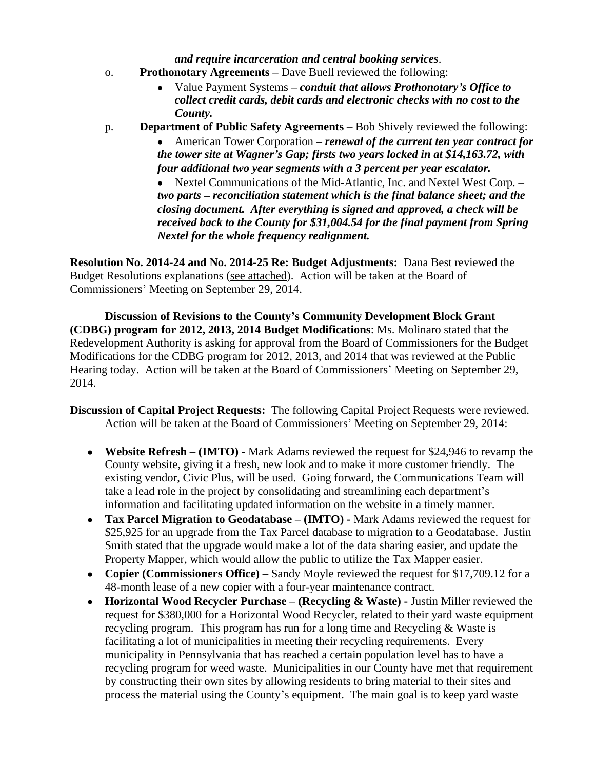*and require incarceration and central booking services*.

- o. **Prothonotary Agreements –** Dave Buell reviewed the following:
	- Value Payment Systems *– conduit that allows Prothonotary's Office to collect credit cards, debit cards and electronic checks with no cost to the County.*
- p. **Department of Public Safety Agreements** Bob Shively reviewed the following:

American Tower Corporation – *renewal of the current ten year contract for the tower site at Wagner's Gap; firsts two years locked in at \$14,163.72, with four additional two year segments with a 3 percent per year escalator.*

 Nextel Communications of the Mid-Atlantic, Inc. and Nextel West Corp. – *two parts – reconciliation statement which is the final balance sheet; and the closing document. After everything is signed and approved, a check will be received back to the County for \$31,004.54 for the final payment from Spring Nextel for the whole frequency realignment.*

**Resolution No. 2014-24 and No. 2014-25 Re: Budget Adjustments:** Dana Best reviewed the Budget Resolutions explanations (see attached). Action will be taken at the Board of Commissioners' Meeting on September 29, 2014.

**Discussion of Revisions to the County's Community Development Block Grant (CDBG) program for 2012, 2013, 2014 Budget Modifications**: Ms. Molinaro stated that the Redevelopment Authority is asking for approval from the Board of Commissioners for the Budget Modifications for the CDBG program for 2012, 2013, and 2014 that was reviewed at the Public Hearing today. Action will be taken at the Board of Commissioners' Meeting on September 29, 2014.

**Discussion of Capital Project Requests:** The following Capital Project Requests were reviewed. Action will be taken at the Board of Commissioners' Meeting on September 29, 2014:

- **Website Refresh – (IMTO) -** Mark Adams reviewed the request for \$24,946 to revamp the County website, giving it a fresh, new look and to make it more customer friendly. The existing vendor, Civic Plus, will be used. Going forward, the Communications Team will take a lead role in the project by consolidating and streamlining each department's information and facilitating updated information on the website in a timely manner.
- **Tax Parcel Migration to Geodatabase <b>(IMTO)** Mark Adams reviewed the request for \$25,925 for an upgrade from the Tax Parcel database to migration to a Geodatabase. Justin Smith stated that the upgrade would make a lot of the data sharing easier, and update the Property Mapper, which would allow the public to utilize the Tax Mapper easier.
- Copier (Commissioners Office) Sandy Moyle reviewed the request for \$17,709.12 for a 48-month lease of a new copier with a four-year maintenance contract.
- Horizontal Wood Recycler Purchase (Recycling & Waste) Justin Miller reviewed the request for \$380,000 for a Horizontal Wood Recycler, related to their yard waste equipment recycling program. This program has run for a long time and Recycling & Waste is facilitating a lot of municipalities in meeting their recycling requirements. Every municipality in Pennsylvania that has reached a certain population level has to have a recycling program for weed waste. Municipalities in our County have met that requirement by constructing their own sites by allowing residents to bring material to their sites and process the material using the County's equipment. The main goal is to keep yard waste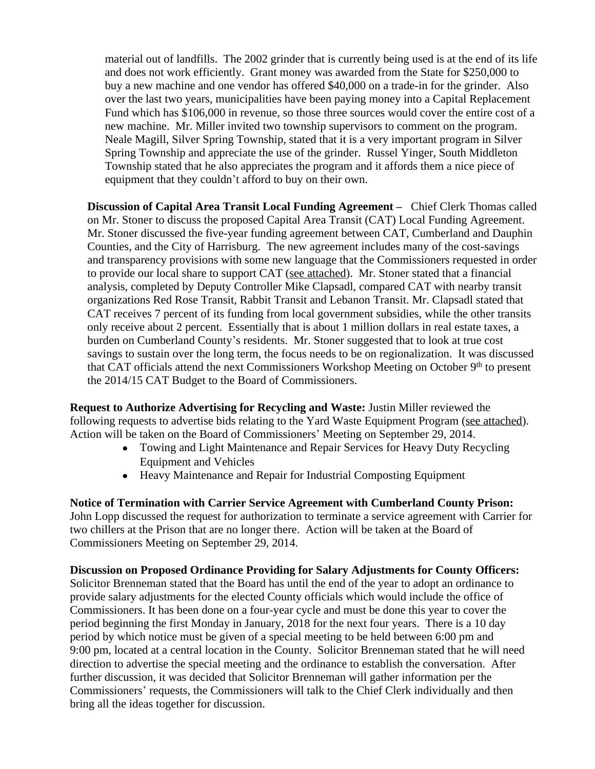material out of landfills. The 2002 grinder that is currently being used is at the end of its life and does not work efficiently. Grant money was awarded from the State for \$250,000 to buy a new machine and one vendor has offered \$40,000 on a trade-in for the grinder. Also over the last two years, municipalities have been paying money into a Capital Replacement Fund which has \$106,000 in revenue, so those three sources would cover the entire cost of a new machine. Mr. Miller invited two township supervisors to comment on the program. Neale Magill, Silver Spring Township, stated that it is a very important program in Silver Spring Township and appreciate the use of the grinder. Russel Yinger, South Middleton Township stated that he also appreciates the program and it affords them a nice piece of equipment that they couldn't afford to buy on their own.

**Discussion of Capital Area Transit Local Funding Agreement –** Chief Clerk Thomas called on Mr. Stoner to discuss the proposed Capital Area Transit (CAT) Local Funding Agreement. Mr. Stoner discussed the five-year funding agreement between CAT, Cumberland and Dauphin Counties, and the City of Harrisburg. The new agreement includes many of the cost-savings and transparency provisions with some new language that the Commissioners requested in order to provide our local share to support CAT (see attached). Mr. Stoner stated that a financial analysis, completed by Deputy Controller Mike Clapsadl, compared CAT with nearby transit organizations Red Rose Transit, Rabbit Transit and Lebanon Transit. Mr. Clapsadl stated that CAT receives 7 percent of its funding from local government subsidies, while the other transits only receive about 2 percent. Essentially that is about 1 million dollars in real estate taxes, a burden on Cumberland County's residents. Mr. Stoner suggested that to look at true cost savings to sustain over the long term, the focus needs to be on regionalization. It was discussed that CAT officials attend the next Commissioners Workshop Meeting on October  $9<sup>th</sup>$  to present the 2014/15 CAT Budget to the Board of Commissioners.

**Request to Authorize Advertising for Recycling and Waste:** Justin Miller reviewed the following requests to advertise bids relating to the Yard Waste Equipment Program (see attached). Action will be taken on the Board of Commissioners' Meeting on September 29, 2014.

- Towing and Light Maintenance and Repair Services for Heavy Duty Recycling Equipment and Vehicles
- Heavy Maintenance and Repair for Industrial Composting Equipment

**Notice of Termination with Carrier Service Agreement with Cumberland County Prison:** John Lopp discussed the request for authorization to terminate a service agreement with Carrier for two chillers at the Prison that are no longer there. Action will be taken at the Board of Commissioners Meeting on September 29, 2014.

**Discussion on Proposed Ordinance Providing for Salary Adjustments for County Officers:** 

Solicitor Brenneman stated that the Board has until the end of the year to adopt an ordinance to provide salary adjustments for the elected County officials which would include the office of Commissioners. It has been done on a four-year cycle and must be done this year to cover the period beginning the first Monday in January, 2018 for the next four years. There is a 10 day period by which notice must be given of a special meeting to be held between 6:00 pm and 9:00 pm, located at a central location in the County. Solicitor Brenneman stated that he will need direction to advertise the special meeting and the ordinance to establish the conversation. After further discussion, it was decided that Solicitor Brenneman will gather information per the Commissioners' requests, the Commissioners will talk to the Chief Clerk individually and then bring all the ideas together for discussion.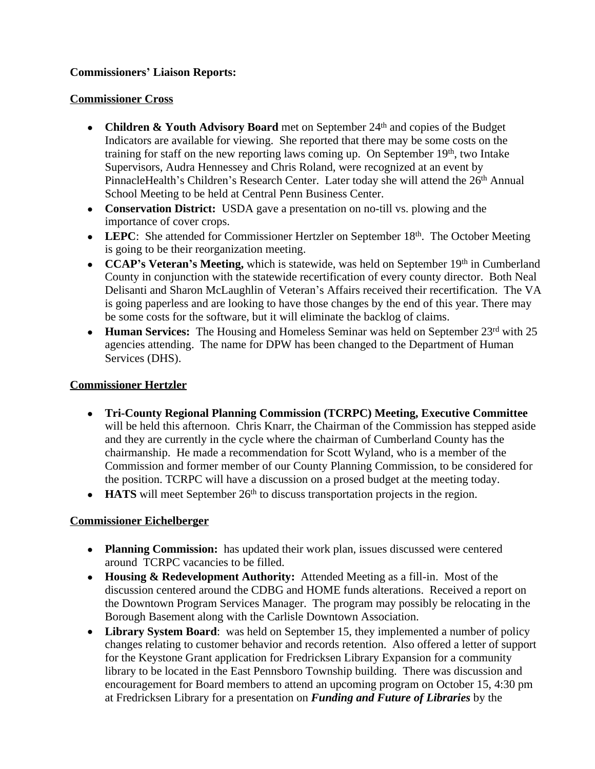# **Commissioners' Liaison Reports:**

### **Commissioner Cross**

- **Children & Youth Advisory Board** met on September 24<sup>th</sup> and copies of the Budget Indicators are available for viewing. She reported that there may be some costs on the training for staff on the new reporting laws coming up. On September  $19<sup>th</sup>$ , two Intake Supervisors, Audra Hennessey and Chris Roland, were recognized at an event by PinnacleHealth's Children's Research Center. Later today she will attend the 26th Annual School Meeting to be held at Central Penn Business Center.
- **Conservation District:** USDA gave a presentation on no-till vs. plowing and the importance of cover crops.
- LEPC: She attended for Commissioner Hertzler on September 18<sup>th</sup>. The October Meeting is going to be their reorganization meeting.
- **CCAP**'s Veteran's Meeting, which is statewide, was held on September 19th in Cumberland County in conjunction with the statewide recertification of every county director. Both Neal Delisanti and Sharon McLaughlin of Veteran's Affairs received their recertification. The VA is going paperless and are looking to have those changes by the end of this year. There may be some costs for the software, but it will eliminate the backlog of claims.
- **Human Services:** The Housing and Homeless Seminar was held on September 23<sup>rd</sup> with 25 agencies attending. The name for DPW has been changed to the Department of Human Services (DHS).

# **Commissioner Hertzler**

- **Tri-County Regional Planning Commission (TCRPC) Meeting, Executive Committee** will be held this afternoon. Chris Knarr, the Chairman of the Commission has stepped aside and they are currently in the cycle where the chairman of Cumberland County has the chairmanship. He made a recommendation for Scott Wyland, who is a member of the Commission and former member of our County Planning Commission, to be considered for the position. TCRPC will have a discussion on a prosed budget at the meeting today.
- **HATS** will meet September 26<sup>th</sup> to discuss transportation projects in the region.

# **Commissioner Eichelberger**

- **Planning Commission:** has updated their work plan, issues discussed were centered around TCRPC vacancies to be filled.
- **Housing & Redevelopment Authority:** Attended Meeting as a fill-in. Most of the discussion centered around the CDBG and HOME funds alterations. Received a report on the Downtown Program Services Manager. The program may possibly be relocating in the Borough Basement along with the Carlisle Downtown Association.
- Library System Board: was held on September 15, they implemented a number of policy changes relating to customer behavior and records retention. Also offered a letter of support for the Keystone Grant application for Fredricksen Library Expansion for a community library to be located in the East Pennsboro Township building. There was discussion and encouragement for Board members to attend an upcoming program on October 15, 4:30 pm at Fredricksen Library for a presentation on *Funding and Future of Libraries* by the